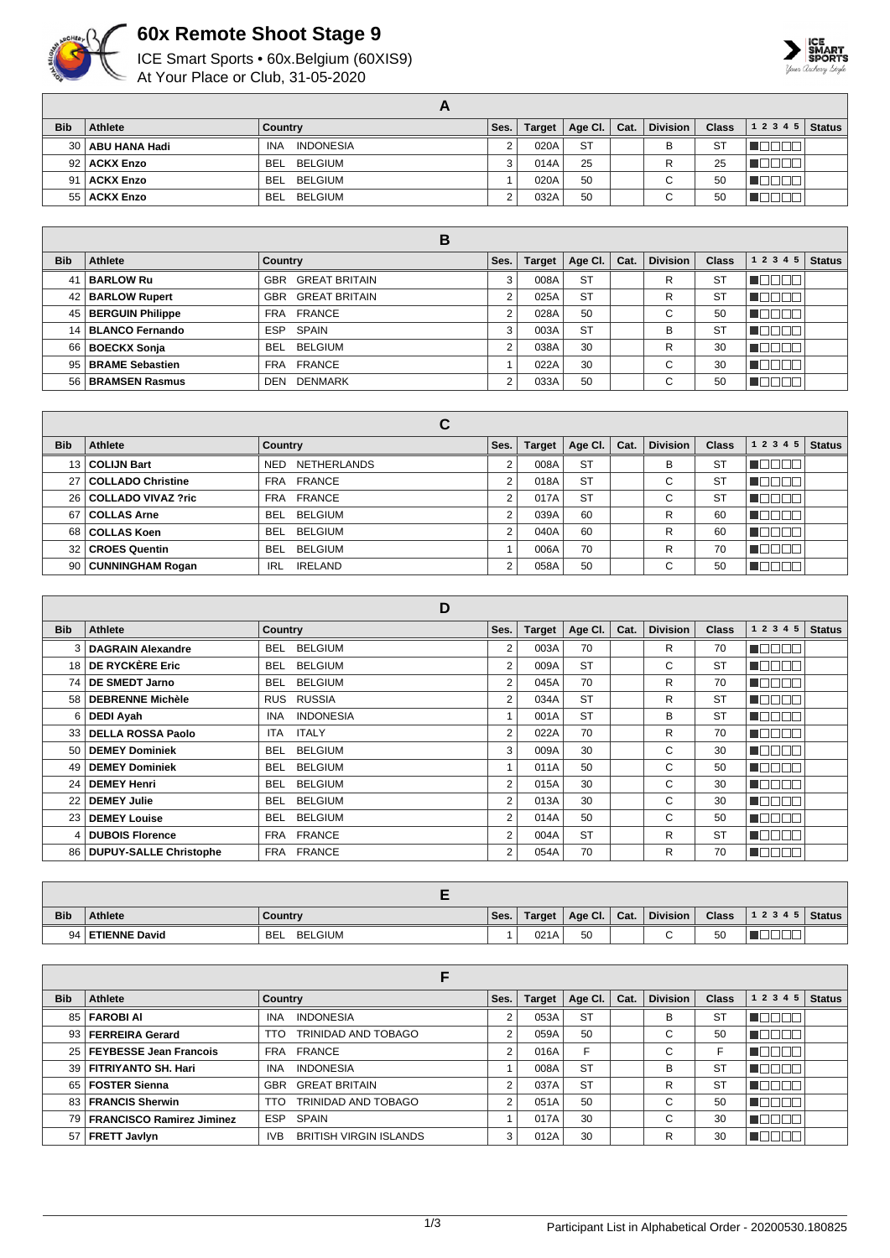

## **60x Remote Shoot Stage 9**

ICE Smart Sports • 60x.Belgium (60XIS9) At Your Place or Club, 31-05-2020



| <b>Bib</b> | Athlete            | Country                        | Ses. | Target | Age Cl. $\vert$ Cat. | <b>Division</b> | <b>Class</b> | 12345 | <b>Status</b> |
|------------|--------------------|--------------------------------|------|--------|----------------------|-----------------|--------------|-------|---------------|
|            | 30   ABU HANA Hadi | <b>INDONESIA</b><br><b>INA</b> |      | 020A   | <b>ST</b>            | B               | -ST          |       |               |
|            | 92   ACKX Enzo     | BEL BELGIUM                    |      | 014A   | 25                   | R               | 25           |       |               |
|            | 91   ACKX Enzo     | BEL BELGIUM                    |      | 020A   | 50                   | $\sim$<br>U     | 50           |       |               |
|            | 55   ACKX Enzo     | BELGIUM<br>BEL                 |      | 032A   | 50                   | $\sim$<br>◡     | 50           |       |               |

|            |                       | В                           |      |               |           |      |                 |              |           |               |
|------------|-----------------------|-----------------------------|------|---------------|-----------|------|-----------------|--------------|-----------|---------------|
| <b>Bib</b> | Athlete               | Country                     | Ses. | <b>Target</b> | Age Cl.   | Cat. | <b>Division</b> | <b>Class</b> | 1 2 3 4 5 | <b>Status</b> |
| 41         | <b>BARLOW Ru</b>      | <b>GREAT BRITAIN</b><br>GBR |      | 008A          | <b>ST</b> |      | R               | ST           |           |               |
|            | 42   BARLOW Rupert    | <b>GBR GREAT BRITAIN</b>    |      | 025A          | <b>ST</b> |      | R               | ST           |           |               |
|            | 45   BERGUIN Philippe | FRA FRANCE                  |      | 028A          | 50        |      | $\sim$          | 50           |           |               |
|            | 14 BLANCO Fernando    | ESP SPAIN                   |      | 003A          | <b>ST</b> |      | B               | ST           |           |               |
|            | 66   BOECKX Sonja     | BELGIUM<br><b>BEL</b>       |      | 038A          | 30        |      | R               | 30           |           |               |
|            | 95 BRAME Sebastien    | FRA FRANCE                  |      | 022A          | 30        |      | $\sim$<br>U     | 30           |           |               |
|            | 56   BRAMSEN Rasmus   | <b>DENMARK</b><br>DEN       |      | 033A          | 50        |      | $\sim$          | 50           |           |               |

|                 |                          | С                            |                |               |           |      |                 |              |           |               |
|-----------------|--------------------------|------------------------------|----------------|---------------|-----------|------|-----------------|--------------|-----------|---------------|
| <b>Bib</b>      | Athlete                  | <b>Country</b>               | Ses.           | <b>Target</b> | Age CI.   | Cat. | <b>Division</b> | <b>Class</b> | 1 2 3 4 5 | <b>Status</b> |
|                 | 13 COLIJN Bart           | NETHERLANDS<br>NED           | 2              | 008A          | <b>ST</b> |      | в               | <b>ST</b>    |           |               |
| 27              | <b>COLLADO Christine</b> | FRA FRANCE                   | 2              | 018A          | <b>ST</b> |      | С               | ST           |           |               |
| 26 I            | COLLADO VIVAZ ?ric       | FRA FRANCE                   | 2              | 017A          | <b>ST</b> |      | С               | <b>ST</b>    |           |               |
| 67              | <b>COLLAS Arne</b>       | BEL BELGIUM                  | 2              | 039A          | 60        |      | R               | 60           |           |               |
|                 | 68 COLLAS Koen           | BEL BELGIUM                  | $\overline{2}$ | 040A          | 60        |      | R               | 60           |           |               |
| 32 <sub>1</sub> | <b>CROES Quentin</b>     | BELGIUM<br>BEL               |                | 006A          | 70        |      | R               | 70           |           |               |
|                 | 90   CUNNINGHAM Rogan    | <b>IRELAND</b><br><b>IRL</b> | 2              | 058A          | 50        |      | C               | 50           |           |               |

|                 |                             | D                              |                |               |           |      |                 |              |                      |               |
|-----------------|-----------------------------|--------------------------------|----------------|---------------|-----------|------|-----------------|--------------|----------------------|---------------|
| <b>Bib</b>      | <b>Athlete</b>              | <b>Country</b>                 | Ses.           | <b>Target</b> | Age Cl.   | Cat. | <b>Division</b> | <b>Class</b> | 1 2 3 4 5            | <b>Status</b> |
| 3               | <b>DAGRAIN Alexandre</b>    | <b>BELGIUM</b><br>BEL.         | 2              | 003A          | 70        |      | R               | 70           | $\Box$ $\Box$ $\Box$ |               |
|                 | 18 DE RYCKÈRE Eric          | <b>BELGIUM</b><br>BEL.         | $\overline{2}$ | 009A          | <b>ST</b> |      | C               | <b>ST</b>    | N DI                 |               |
| 74 I            | <b>DE SMEDT Jarno</b>       | <b>BELGIUM</b><br><b>BEL</b>   | $\overline{2}$ | 045A          | 70        |      | R               | 70           | - 11 - 11            |               |
| 58              | <b>DEBRENNE Michèle</b>     | RUS RUSSIA                     | $\overline{2}$ | 034A          | <b>ST</b> |      | R               | <b>ST</b>    | - IT I               |               |
| 61              | <b>DEDI Ayah</b>            | <b>INDONESIA</b><br><b>INA</b> |                | 001A          | <b>ST</b> |      | В               | <b>ST</b>    | - 11                 |               |
|                 | 33   DELLA ROSSA Paolo      | <b>ITALY</b><br><b>ITA</b>     | $\overline{2}$ | 022A          | 70        |      | R               | 70           |                      |               |
| 50              | <b>DEMEY Dominiek</b>       | <b>BELGIUM</b><br><b>BEL</b>   | 3              | 009A          | 30        |      | C               | 30           | ┓╒┪                  |               |
| 49              | <b>DEMEY Dominiek</b>       | <b>BELGIUM</b><br><b>BEL</b>   | 4              | 011A          | 50        |      | C               | 50           | a mat                |               |
| 24              | <b>DEMEY Henri</b>          | <b>BELGIUM</b><br><b>BEL</b>   | 2              | 015A          | 30        |      | C               | 30           | TET                  |               |
| 22              | <b>DEMEY Julie</b>          | <b>BELGIUM</b><br><b>BEL</b>   | 2              | 013A          | 30        |      | C               | 30           | TN.                  |               |
| 23 <sub>1</sub> | <b>DEMEY Louise</b>         | <b>BELGIUM</b><br><b>BEL</b>   | $\overline{2}$ | 014A          | 50        |      | C               | 50           | T FTI                |               |
| 4               | <b>DUBOIS Florence</b>      | FRA FRANCE                     | $\overline{2}$ | 004A          | <b>ST</b> |      | R               | <b>ST</b>    | - I Fili             |               |
|                 | 86   DUPUY-SALLE Christophe | <b>FRANCE</b><br>FRA           | 2              | 054A          | 70        |      | R               | 70           | TN                   |               |

| <b>Bib</b> | <b>Athlete</b>       | Country                      | Ses. | Target | Age Cl. | Cat. | <b>Division</b> | <b>Class</b> | 12345 | Status |
|------------|----------------------|------------------------------|------|--------|---------|------|-----------------|--------------|-------|--------|
| 94         | <b>ETIENNE David</b> | <b>BELGIUM</b><br><b>BEL</b> |      | 021A   | 50      |      |                 | 50           |       |        |

| <b>Bib</b> | <b>Athlete</b>                 | Country                               | Ses.           | <b>Target</b> | Age CI.   | Cat. | <b>Division</b>               | <b>Class</b> | 1 2 3 4 5 | <b>Status</b> |
|------------|--------------------------------|---------------------------------------|----------------|---------------|-----------|------|-------------------------------|--------------|-----------|---------------|
|            | 85   FAROBI AI                 | <b>INDONESIA</b><br><b>INA</b>        | っ              | 053A          | <b>ST</b> |      | B                             | <b>ST</b>    |           |               |
|            | 93 FERREIRA Gerard             | TRINIDAD AND TOBAGO<br>TTO            | $\Omega$       | 059A          | 50        |      | $\overline{\phantom{0}}$<br>U | 50           | ורורור    |               |
|            | 25   FEYBESSE Jean Francois    | FRA FRANCE                            | 2              | 016A          | F         |      | С                             | F            |           |               |
|            | 39   FITRIYANTO SH. Hari       | <b>INDONESIA</b><br><b>INA</b>        |                | 008A          | <b>ST</b> |      | В                             | <b>ST</b>    | חרו       |               |
|            | 65   FOSTER Sienna             | <b>GREAT BRITAIN</b><br><b>GBR</b>    | $\mathfrak{p}$ | 037A          | <b>ST</b> |      | R                             | <b>ST</b>    | ורוו      |               |
|            | 83 FRANCIS Sherwin             | TRINIDAD AND TOBAGO<br>TTO            | 2              | 051A          | 50        |      | $\sim$<br>U                   | 50           | ורוו      |               |
|            | 79   FRANCISCO Ramirez Jiminez | <b>ESP</b><br>SPAIN                   |                | 017A          | 30        |      | $\sim$<br>ت                   | 30           | ורור      |               |
|            | 57   FRETT Javlyn              | <b>BRITISH VIRGIN ISLANDS</b><br>IVB. | 3              | 012A          | 30        |      | R                             | 30           |           |               |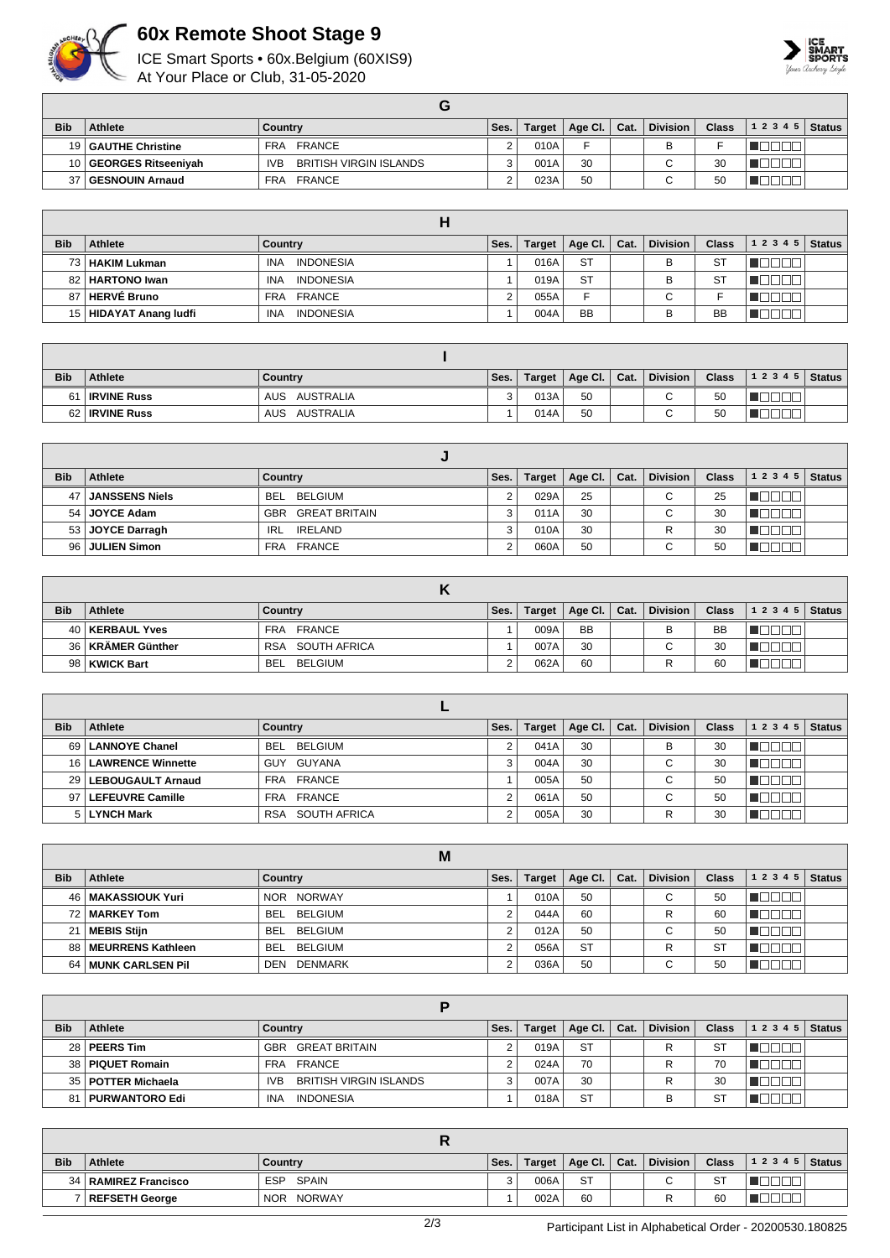

## **60x Remote Shoot Stage 9**

ICE Smart Sports • 60x.Belgium (60XIS9)

At Your Place or Club, 31-05-2020



| <b>Bib</b> | <b>Athlete</b>         | Country                              | Ses. | Target | Age Cl. $\vert$ Cat. | <b>Division</b> | <b>Class</b> | $12345$ Status |  |
|------------|------------------------|--------------------------------------|------|--------|----------------------|-----------------|--------------|----------------|--|
|            | 19   GAUTHE Christine  | FRANCE<br>FRA                        |      | 010A   |                      | в               |              |                |  |
|            | 10 GEORGES Ritseeniyah | BRITISH VIRGIN ISLANDS<br><b>IVB</b> |      | 001A   | 30                   | ⌒               | 30           |                |  |
| 37         | <b>GESNOUIN Arnaud</b> | FRANCE<br><b>FRA</b>                 |      | 023A   | 50                   |                 | 50           |                |  |

|            |                          | п                              |      |        |                 |      |                 |           |       |        |
|------------|--------------------------|--------------------------------|------|--------|-----------------|------|-----------------|-----------|-------|--------|
| <b>Bib</b> | <b>Athlete</b>           | Country                        | Ses. | Target | Age Cl. $\vert$ | Cat. | <b>Division</b> | Class     | 12345 | Status |
|            | 73   HAKIM Lukman        | <b>INDONESIA</b><br><b>INA</b> |      | 016A   | <b>ST</b>       |      | в               | <b>ST</b> |       |        |
|            | 82   HARTONO Iwan        | <b>INA</b><br><b>INDONESIA</b> |      | 019A   | <b>ST</b>       |      | B               | <b>ST</b> |       |        |
| 87 I       | HERVÉ Bruno              | FRA FRANCE                     |      | 055A   | E               |      | ⌒<br>ັ          |           |       |        |
|            | 15   HIDAYAT Anang ludfi | <b>INDONESIA</b><br><b>INA</b> |      | 004A   | <b>BB</b>       |      | B               | BB        |       |        |

| <b>Bib</b> | Athlete               | Country          | Ses. | Target | Age Cl.   Cat. | <b>Division</b> | <b>Class</b> | $12345$ Status |  |
|------------|-----------------------|------------------|------|--------|----------------|-----------------|--------------|----------------|--|
| 61         | <b>IRVINE Russ</b>    | AUSTRALIA<br>AUS |      | 013A   | 50             | $\sim$<br>◡     | 50           |                |  |
|            | 62 <b>IRVINE Russ</b> | AUSTRALIA<br>AUS |      | 014A   | 50             | $\sim$<br>u     | 50           |                |  |

| <b>Bib</b> | Athlete               | Country                      | Ses. | <b>Target</b> | Age Cl. $ $ | Cat. | <b>Division</b> | <b>Class</b> | 1 2 3 4 5 | <b>Status</b> |
|------------|-----------------------|------------------------------|------|---------------|-------------|------|-----------------|--------------|-----------|---------------|
| 47 I       | <b>JANSSENS Niels</b> | BEL BELGIUM                  |      | 029A          | 25          |      | C.              | 25           |           |               |
|            | 54   JOYCE Adam       | <b>GREAT BRITAIN</b><br>GBR  | 3    | 011A          | 30          |      | C.              | 30           |           |               |
|            | 53 JOYCE Darragh      | <b>IRELAND</b><br><b>IRL</b> | 3    | 010A          | 30          |      |                 | 30           |           |               |
|            | 96   JULIEN Simon     | FRA FRANCE                   |      | 060A          | 50          |      | ⌒<br>U          | 50           |           |               |

| <b>Bib</b> | <b>Athlete</b>      | Country          | Ses. | <b>Target</b> | Age Cl. $\vert$ Cat. | <b>Division</b> | <b>Class</b> | $12345$ Status |  |
|------------|---------------------|------------------|------|---------------|----------------------|-----------------|--------------|----------------|--|
|            | 40   KERBAUL Yves   | FRA FRANCE       |      | 009A          | <b>BB</b>            | в               | <b>BB</b>    |                |  |
|            | 36   KRÄMER Günther | RSA SOUTH AFRICA |      | 007A          | 30                   | $\sim$<br>U     | 30           |                |  |
|            | 98   KWICK Bart     | BELGIUM<br>BEL   |      | 062A          | 60                   |                 | 60           |                |  |

| <b>Bib</b> | <b>Athlete</b>         | Country                    | Ses. | <b>Target</b> | Age CI. | Cat. | <b>Division</b> | <b>Class</b> | 1 2 3 4 5 | <b>Status</b> |
|------------|------------------------|----------------------------|------|---------------|---------|------|-----------------|--------------|-----------|---------------|
|            | 69   LANNOYE Chanel    | BELGIUM<br>BEL             |      | 041A          | 30      |      | в               | 30           |           |               |
|            | 16   LAWRENCE Winnette | GUY GUYANA                 |      | 004A          | 30      |      | $\sim$<br>U     | 30           |           |               |
|            | 29   LEBOUGAULT Arnaud | FRA FRANCE                 |      | 005A          | 50      |      | $\sim$<br>U     | 50           |           |               |
|            | 97   LEFEUVRE Camille  | FRA FRANCE                 |      | 061A          | 50      |      | $\sim$<br>U     | 50           |           |               |
|            | 5 LYNCH Mark           | <b>RSA</b><br>SOUTH AFRICA |      | 005A          | 30      |      | R               | 30           |           |               |

|            | M                       |                       |      |               |           |      |                 |              |           |               |  |  |
|------------|-------------------------|-----------------------|------|---------------|-----------|------|-----------------|--------------|-----------|---------------|--|--|
| <b>Bib</b> | <b>Athlete</b>          | Country               | Ses. | <b>Target</b> | Age Cl.   | Cat. | <b>Division</b> | <b>Class</b> | 1 2 3 4 5 | <b>Status</b> |  |  |
| 46         | MAKASSIOUK Yuri         | NOR NORWAY            |      | 010A          | 50        |      | $\sim$<br>◡     | 50           |           |               |  |  |
|            | 72 MARKEY Tom           | BEL BELGIUM           |      | 044A          | 60        |      | R               | 60           |           |               |  |  |
| 21         | MEBIS Stijn             | BEL BELGIUM           |      | 012A          | 50        |      | $\sim$<br>◡     | 50           |           |               |  |  |
| 88 l       | MEURRENS Kathleen       | BEL BELGIUM           |      | 056A          | <b>ST</b> |      | R               | <b>ST</b>    |           |               |  |  |
| 64         | <b>MUNK CARLSEN Pil</b> | <b>DENMARK</b><br>DEN |      | 036A          | 50        |      | ◡               | 50           |           |               |  |  |

| <b>Bib</b> | <b>Athlete</b>       | Country                        | Ses. | Target | Age Cl. $\vert$ Cat. |  | <b>Division</b> | <b>Class</b> | 12345 | <b>Status</b> |  |  |
|------------|----------------------|--------------------------------|------|--------|----------------------|--|-----------------|--------------|-------|---------------|--|--|
|            | 28   PEERS Tim       | GBR GREAT BRITAIN              |      | 019A   | <b>ST</b>            |  |                 | S1           |       |               |  |  |
|            | 38   PIQUET Romain   | FRA FRANCE                     |      | 024A   | 70                   |  |                 | 70           |       |               |  |  |
|            | 35   POTTER Michaela | BRITISH VIRGIN ISLANDS<br>IVB. |      | 007A   | 30                   |  |                 | 30           |       |               |  |  |
| 81         | PURWANTORO Edi       | <b>INDONESIA</b><br><b>INA</b> |      | 018A   | <b>ST</b>            |  |                 | S٦           |       |               |  |  |

| <b>Bib</b> | <b>Athlete</b>         | Country                     | Ses. | Target | Age Cl. $\vert$ Cat. |  | <b>Division</b> | <b>Class</b> | 1 2 3 4 5   Status |  |  |
|------------|------------------------|-----------------------------|------|--------|----------------------|--|-----------------|--------------|--------------------|--|--|
|            | 34   RAMIREZ Francisco | SPAIN<br><b>ESP</b>         | ີ    | 006A   | <b>ST</b>            |  | ⌒<br>ີ          | ST           |                    |  |  |
|            | REFSETH George         | <b>NORWAY</b><br><b>NOR</b> |      | 002A   | 60                   |  |                 | 60           |                    |  |  |